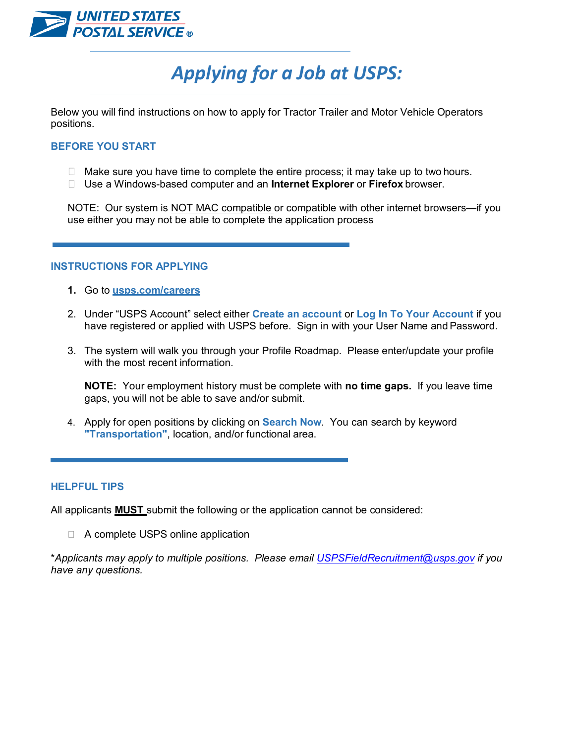

# *Applying for a Job at USPS:*

Below you will find instructions on how to apply for Tractor Trailer and Motor Vehicle Operators positions.

# **BEFORE YOU START**

- $\Box$  Make sure you have time to complete the entire process; it may take up to two hours.
- Use a Windows-based computer and an **Internet Explorer** or **Firefox** browser.

NOTE: Our system is NOT MAC compatible or compatible with other internet browsers—if you use either you may not be able to complete the application process

# **INSTRUCTIONS FOR APPLYING**

- **1.** Go to **usps.com/careers**
- 2. Under "USPS Account" select either **Create an account** or **Log In To Your Account** if you have registered or applied with USPS before. Sign in with your User Name and Password.
- 3. The system will walk you through your Profile Roadmap. Please enter/update your profile with the most recent information.

**NOTE:** Your employment history must be complete with **no time gaps.** If you leave time gaps, you will not be able to save and/or submit.

4. Apply for open positions by clicking on **Search Now**. You can search by keyword **"Transportation"**, location, and/or functional area.

# **HELPFUL TIPS**

All applicants **MUST** submit the following or the application cannot be considered:

□ A complete USPS online application

\**Applicants may apply to multiple positions. Please email USPSFieldRecruitment@usps.gov if you have any questions.*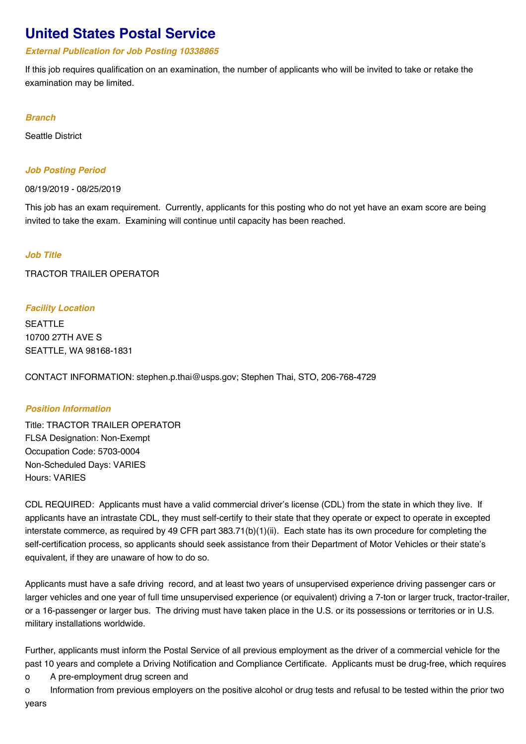# **United States Postal Service**

#### *External Publication for Job Posting 10338865*

If this job requires qualification on an examination, the number of applicants who will be invited to take or retake the examination may be limited.

#### *Branch*

Seattle District

#### *Job Posting Period*

08/19/2019 - 08/25/2019

This job has an exam requirement. Currently, applicants for this posting who do not yet have an exam score are being invited to take the exam. Examining will continue until capacity has been reached.

# *Job Title*

TRACTOR TRAILER OPERATOR

# *Facility Location*

SEATTLE 10700 27TH AVE S SEATTLE, WA 98168-1831

CONTACT INFORMATION: stephen.p.thai@usps.gov; Stephen Thai, STO, 206-768-4729

# *Position Information*

Title: TRACTOR TRAILER OPERATOR FLSA Designation: Non-Exempt Occupation Code: 5703-0004 Non-Scheduled Days: VARIES Hours: VARIES

CDL REQUIRED: Applicants must have a valid commercial driver's license (CDL) from the state in which they live. If applicants have an intrastate CDL, they must self-certify to their state that they operate or expect to operate in excepted interstate commerce, as required by 49 CFR part 383.71(b)(1)(ii). Each state has its own procedure for completing the self-certification process, so applicants should seek assistance from their Department of Motor Vehicles or their state's equivalent, if they are unaware of how to do so.

Applicants must have a safe driving record, and at least two years of unsupervised experience driving passenger cars or larger vehicles and one year of full time unsupervised experience (or equivalent) driving a 7-ton or larger truck, tractor-trailer, or a 16-passenger or larger bus. The driving must have taken place in the U.S. or its possessions or territories or in U.S. military installations worldwide.

Further, applicants must inform the Postal Service of all previous employment as the driver of a commercial vehicle for the past 10 years and complete a Driving Notification and Compliance Certificate. Applicants must be drug-free, which requires

o A pre-employment drug screen and

o Information from previous employers on the positive alcohol or drug tests and refusal to be tested within the prior two years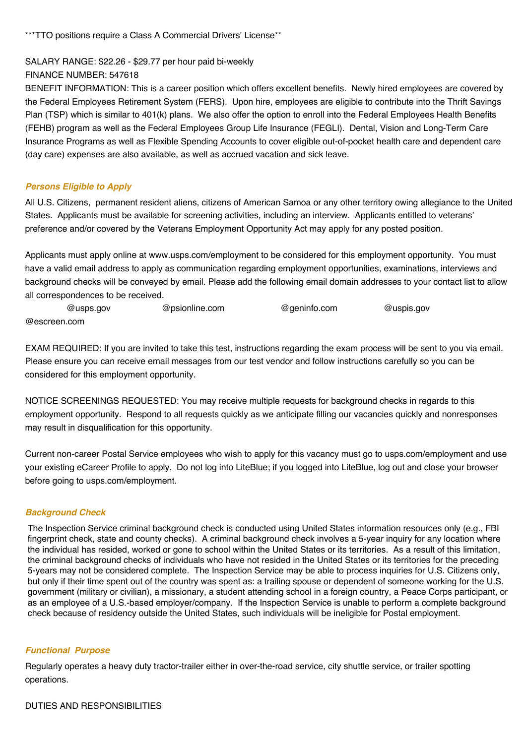\*\*\*TTO positions require a Class A Commercial Drivers' License\*\*

SALARY RANGE: \$22.26 - \$29.77 per hour paid bi-weekly

FINANCE NUMBER: 547618

BENEFIT INFORMATION: This is a career position which offers excellent benefits. Newly hired employees are covered by the Federal Employees Retirement System (FERS). Upon hire, employees are eligible to contribute into the Thrift Savings Plan (TSP) which is similar to 401(k) plans. We also offer the option to enroll into the Federal Employees Health Benefits (FEHB) program as well as the Federal Employees Group Life Insurance (FEGLI). Dental, Vision and Long-Term Care Insurance Programs as well as Flexible Spending Accounts to cover eligible out-of-pocket health care and dependent care (day care) expenses are also available, as well as accrued vacation and sick leave.

#### *Persons Eligible to Apply*

All U.S. Citizens, permanent resident aliens, citizens of American Samoa or any other territory owing allegiance to the United States. Applicants must be available for screening activities, including an interview. Applicants entitled to veterans' preference and/or covered by the Veterans Employment Opportunity Act may apply for any posted position.

Applicants must apply online at www.usps.com/employment to be considered for this employment opportunity. You must have a valid email address to apply as communication regarding employment opportunities, examinations, interviews and background checks will be conveyed by email. Please add the following email domain addresses to your contact list to allow all correspondences to be received.

 @usps.gov @psionline.com @geninfo.com @uspis.gov @escreen.com

EXAM REQUIRED: If you are invited to take this test, instructions regarding the exam process will be sent to you via email. Please ensure you can receive email messages from our test vendor and follow instructions carefully so you can be considered for this employment opportunity.

NOTICE SCREENINGS REQUESTED: You may receive multiple requests for background checks in regards to this employment opportunity. Respond to all requests quickly as we anticipate filling our vacancies quickly and nonresponses may result in disqualification for this opportunity.

Current non-career Postal Service employees who wish to apply for this vacancy must go to usps.com/employment and use your existing eCareer Profile to apply. Do not log into LiteBlue; if you logged into LiteBlue, log out and close your browser before going to usps.com/employment.

#### *Background Check*

The Inspection Service criminal background check is conducted using United States information resources only (e.g., FBI fingerprint check, state and county checks). A criminal background check involves a 5-year inquiry for any location where the individual has resided, worked or gone to school within the United States or its territories. As a result of this limitation, the criminal background checks of individuals who have not resided in the United States or its territories for the preceding 5-years may not be considered complete. The Inspection Service may be able to process inquiries for U.S. Citizens only, but only if their time spent out of the country was spent as: a trailing spouse or dependent of someone working for the U.S. government (military or civilian), a missionary, a student attending school in a foreign country, a Peace Corps participant, or as an employee of a U.S.-based employer/company. If the Inspection Service is unable to perform a complete background check because of residency outside the United States, such individuals will be ineligible for Postal employment.

#### *Functional Purpose*

Regularly operates a heavy duty tractor-trailer either in over-the-road service, city shuttle service, or trailer spotting operations.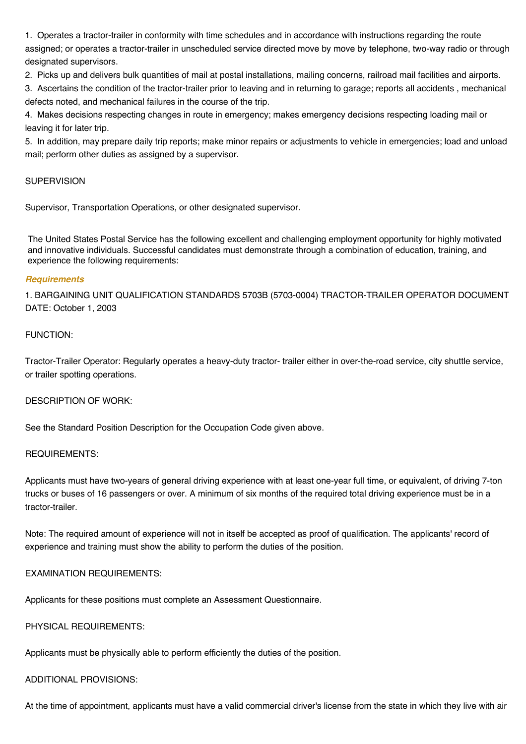1. Operates a tractor-trailer in conformity with time schedules and in accordance with instructions regarding the route assigned; or operates a tractor-trailer in unscheduled service directed move by move by telephone, two-way radio or through designated supervisors.

2. Picks up and delivers bulk quantities of mail at postal installations, mailing concerns, railroad mail facilities and airports.

3. Ascertains the condition of the tractor-trailer prior to leaving and in returning to garage; reports all accidents , mechanical defects noted, and mechanical failures in the course of the trip.

4. Makes decisions respecting changes in route in emergency; makes emergency decisions respecting loading mail or leaving it for later trip.

5. In addition, may prepare daily trip reports; make minor repairs or adjustments to vehicle in emergencies; load and unload mail; perform other duties as assigned by a supervisor.

#### **SUPERVISION**

Supervisor, Transportation Operations, or other designated supervisor.

The United States Postal Service has the following excellent and challenging employment opportunity for highly motivated and innovative individuals. Successful candidates must demonstrate through a combination of education, training, and experience the following requirements:

#### *Requirements*

1. BARGAINING UNIT QUALIFICATION STANDARDS 5703B (5703-0004) TRACTOR-TRAILER OPERATOR DOCUMENT DATE: October 1, 2003

#### FUNCTION:

Tractor-Trailer Operator: Regularly operates a heavy-duty tractor- trailer either in over-the-road service, city shuttle service, or trailer spotting operations.

#### DESCRIPTION OF WORK:

See the Standard Position Description for the Occupation Code given above.

#### REQUIREMENTS:

Applicants must have two-years of general driving experience with at least one-year full time, or equivalent, of driving 7-ton trucks or buses of 16 passengers or over. A minimum of six months of the required total driving experience must be in a tractor-trailer.

Note: The required amount of experience will not in itself be accepted as proof of qualification. The applicants' record of experience and training must show the ability to perform the duties of the position.

# EXAMINATION REQUIREMENTS:

Applicants for these positions must complete an Assessment Questionnaire.

# PHYSICAL REQUIREMENTS:

Applicants must be physically able to perform efficiently the duties of the position.

# ADDITIONAL PROVISIONS:

At the time of appointment, applicants must have a valid commercial driver's license from the state in which they live with air